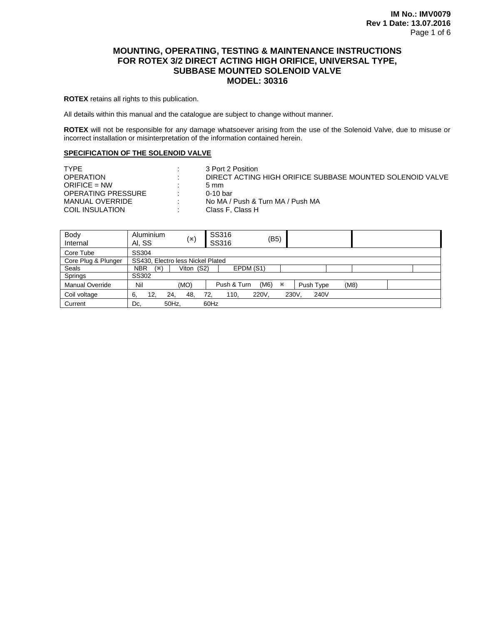# **MOUNTING, OPERATING, TESTING & MAINTENANCE INSTRUCTIONS FOR ROTEX 3/2 DIRECT ACTING HIGH ORIFICE, UNIVERSAL TYPE, SUBBASE MOUNTED SOLENOID VALVE MODEL: 30316**

**ROTEX** retains all rights to this publication.

All details within this manual and the catalogue are subject to change without manner.

**ROTEX** will not be responsible for any damage whatsoever arising from the use of the Solenoid Valve, due to misuse or incorrect installation or misinterpretation of the information contained herein.

#### **SPECIFICATION OF THE SOLENOID VALVE**

| <b>TYPF</b>        | ٠. | 3 Port 2 Position                                         |
|--------------------|----|-----------------------------------------------------------|
| <b>OPERATION</b>   | л. | DIRECT ACTING HIGH ORIFICE SUBBASE MOUNTED SOLENOID VALVE |
| $ORIFICE = NW$     |    | 5 mm                                                      |
| OPERATING PRESSURE | ٠. | 0-10 bar                                                  |
| MANUAL OVERRIDE    | ٠. | No MA / Push & Turn MA / Push MA                          |
| COIL INSULATION    | ٠. | Class F. Class H                                          |

| Body                   | Aluminium<br>(×)                  | SS316<br>(B5)            |                   |  |  |  |
|------------------------|-----------------------------------|--------------------------|-------------------|--|--|--|
| Internal               | AI, SS                            | SS316                    |                   |  |  |  |
| Core Tube              | SS304                             |                          |                   |  |  |  |
| Core Plug & Plunger    | SS430. Electro less Nickel Plated |                          |                   |  |  |  |
| Seals                  | NBR<br>Viton (S2)<br>(※)          | EPDM (S1)                |                   |  |  |  |
| Springs                | SS302                             |                          |                   |  |  |  |
| <b>Manual Override</b> | Nil<br>(MO)                       | (M6)<br>Push & Turn<br>Ж | (M8)<br>Push Type |  |  |  |
| Coil voltage           | 6,<br>12,<br>24.<br>48.           | 220V.<br>110,<br>72.     | 230V.<br>240V     |  |  |  |
| Current                | 50Hz.<br>Dc.                      | 60Hz                     |                   |  |  |  |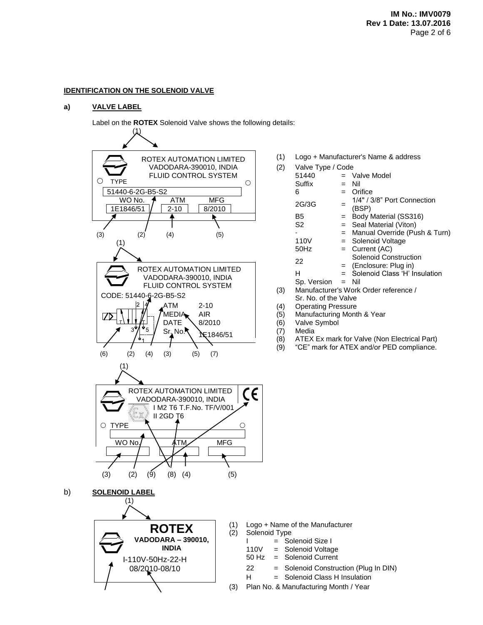## **IDENTIFICATION ON THE SOLENOID VALVE**

## **a) VALVE LABEL**

Label on the **ROTEX** Solenoid Valve shows the following details:



|     | (1) Logo + Manufacturer's Name & address |
|-----|------------------------------------------|
| (2) | Valve Type / Code                        |

| (2)        | Valve Type / Code                     |     |                                      |  |  |  |
|------------|---------------------------------------|-----|--------------------------------------|--|--|--|
|            | 51440                                 |     | $=$ Valve Model                      |  |  |  |
|            | Suffix                                |     | Nil                                  |  |  |  |
|            | 6                                     | $=$ | Orifice                              |  |  |  |
|            | 2G/3G                                 |     | 1/4" / 3/8" Port Connection<br>(BSP) |  |  |  |
|            | В5                                    | $=$ | Body Material (SS316)                |  |  |  |
|            | S <sub>2</sub>                        |     | $=$ Seal Material (Viton)            |  |  |  |
|            |                                       | $=$ | Manual Override (Push & Turn)        |  |  |  |
|            | 110V                                  |     | $=$ Solenoid Voltage                 |  |  |  |
|            | 50Hz                                  |     | $=$ Current (AC)                     |  |  |  |
|            | 22                                    |     | Solenoid Construction                |  |  |  |
|            |                                       |     | $=$ (Enclosure: Plug in)             |  |  |  |
|            | н                                     |     | $=$ Solenoid Class 'H' Insulation    |  |  |  |
|            | $Sp. Version = Nil$                   |     |                                      |  |  |  |
| (3)        | Manufacturer's Work Order reference / |     |                                      |  |  |  |
|            | Sr. No. of the Valve                  |     |                                      |  |  |  |
| $\sqrt{4}$ | 0. D.                                 |     |                                      |  |  |  |

- (4) Operating Pressure
- (5) Manufacturing Month & Year
- (6) Valve Symbol
- (7) Media
- (8) ATEX Ex mark for Valve (Non Electrical Part)
- (9) "CE" mark for ATEX and/or PED compliance.

Logo + Name of the Manufacturer Solenoid Type

- = Solenoid Size I
- = Solenoid Voltage<br>Solenoid Current
- 
- 

H = Solenoid Class H Insulation

(3) Plan No. & Manufacturing Month / Year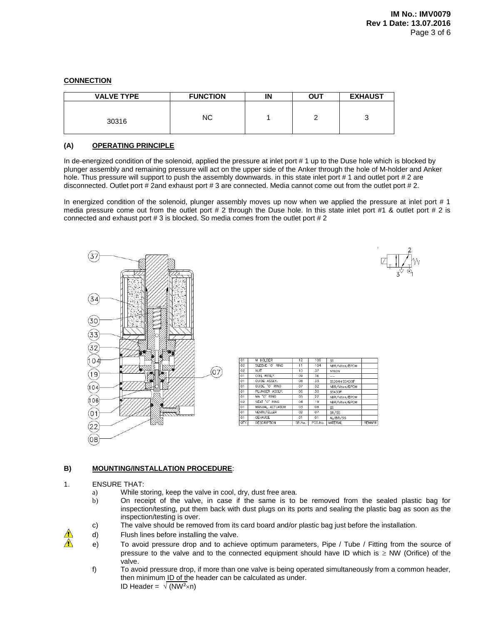# **CONNECTION**

| <b>VALVE TYPE</b> | <b>FUNCTION</b> | IN | <b>OUT</b> | <b>EXHAUST</b> |
|-------------------|-----------------|----|------------|----------------|
| 30316             | ΝC              |    |            | J              |

## **(A) OPERATING PRINCIPLE**

In de-energized condition of the solenoid, applied the pressure at inlet port # 1 up to the Duse hole which is blocked by plunger assembly and remaining pressure will act on the upper side of the Anker through the hole of M-holder and Anker hole. Thus pressure will support to push the assembly downwards. in this state inlet port #1 and outlet port #2 are disconnected. Outlet port # 2and exhaust port # 3 are connected. Media cannot come out from the outlet port # 2.

In energized condition of the solenoid, plunger assembly moves up now when we applied the pressure at inlet port #1 media pressure come out from the outlet port # 2 through the Duse hole. In this state inlet port #1  $\&$  outlet port # 2 is connected and exhaust port # 3 is blocked. So media comes from the outlet port # 2





# **B) MOUNTING/INSTALLATION PROCEDURE**:

## 1. ENSURE THAT:

 $\triangle$ 

- a) While storing, keep the valve in cool, dry, dust free area.
- b) On receipt of the valve, in case if the same is to be removed from the sealed plastic bag for inspection/testing, put them back with dust plugs on its ports and sealing the plastic bag as soon as the inspection/testing is over.
- c) The valve should be removed from its card board and/or plastic bag just before the installation.
- d) Flush lines before installing the valve.
- $\triangle$  e) To avoid pressure drop and to achieve optimum parameters, Pipe / Tube / Fitting from the source of pressure to the valve and to the connected equipment should have ID which is  $\geq$  NW (Orifice) of the valve.
	- f) To avoid pressure drop, if more than one valve is being operated simultaneously from a common header, then minimum ID of the header can be calculated as under. ID Header =  $\sqrt{(NW^2 \times n)}$

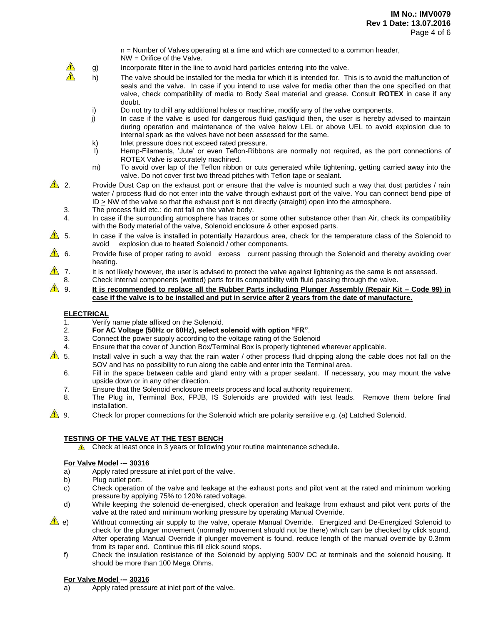n = Number of Valves operating at a time and which are connected to a common header, NW = Orifice of the Valve.

- g) Incorporate filter in the line to avoid hard particles entering into the valve.
- h) The valve should be installed for the media for which it is intended for. This is to avoid the malfunction of seals and the valve. In case if you intend to use valve for media other than the one specified on that valve, check compatibility of media to Body Seal material and grease. Consult **ROTEX** in case if any doubt.
- i) Do not try to drill any additional holes or machine, modify any of the valve components.
- j) In case if the valve is used for dangerous fluid gas/liquid then, the user is hereby advised to maintain during operation and maintenance of the valve below LEL or above UEL to avoid explosion due to internal spark as the valves have not been assessed for the same.
- k) Inlet pressure does not exceed rated pressure.
- l) Hemp-Filaments, 'Jute' or even Teflon-Ribbons are normally not required, as the port connections of ROTEX Valve is accurately machined.
- m) To avoid over lap of the Teflon ribbon or cuts generated while tightening, getting carried away into the valve. Do not cover first two thread pitches with Teflon tape or sealant.
- 2. Provide Dust Cap on the exhaust port or ensure that the valve is mounted such a way that dust particles / rain water / process fluid do not enter into the valve through exhaust port of the valve. You can connect bend pipe of ID > NW of the valve so that the exhaust port is not directly (straight) open into the atmosphere.
	- 3. The process fluid etc.: do not fall on the valve body.
	- 4. In case if the surrounding atmosphere has traces or some other substance other than Air, check its compatibility with the Body material of the valve, Solenoid enclosure & other exposed parts.
- $\triangle$  5. In case if the valve is installed in potentially Hazardous area, check for the temperature class of the Solenoid to avoid explosion due to heated Solenoid / other components.
- 6. Provide fuse of proper rating to avoid excess current passing through the Solenoid and thereby avoiding over heating.
- 7. It is not likely however, the user is advised to protect the valve against lightening as the same is not assessed.
- 8. Check internal components (wetted) parts for its compatibility with fluid passing through the valve.
- 9. **It is recommended to replace all the Rubber Parts including Plunger Assembly (Repair Kit – Code 99) in case if the valve is to be installed and put in service after 2 years from the date of manufacture.**

#### **ELECTRICAL**

 $\triangle$  $\bigwedge$ 

- 1. Verify name plate affixed on the Solenoid.<br>2. **For AC Voltage (50Hz or 60Hz), select s**
- 2. **For AC Voltage (50Hz or 60Hz), select solenoid with option "FR"**.
- Connect the power supply according to the voltage rating of the Solenoid
- 4. Ensure that the cover of Junction Box/Terminal Box is properly tightened wherever applicable.
- $\triangle$  5. Install valve in such a way that the rain water / other process fluid dripping along the cable does not fall on the SOV and has no possibility to run along the cable and enter into the Terminal area.
	- 6. Fill in the space between cable and gland entry with a proper sealant. If necessary, you may mount the valve upside down or in any other direction.
	- 7. Ensure that the Solenoid enclosure meets process and local authority requirement.
	- 8. The Plug in, Terminal Box, FPJB, IS Solenoids are provided with test leads. Remove them before final installation.
- 9. Check for proper connections for the Solenoid which are polarity sensitive e.g. (a) Latched Solenoid.

#### **TESTING OF THE VALVE AT THE TEST BENCH**

**A** Check at least once in 3 years or following your routine maintenance schedule.

#### **For Valve Model --- 30316**

- a) Apply rated pressure at inlet port of the valve.
- b) Plug outlet port.
- c) Check operation of the valve and leakage at the exhaust ports and pilot vent at the rated and minimum working pressure by applying 75% to 120% rated voltage.
- d) While keeping the solenoid de-energised, check operation and leakage from exhaust and pilot vent ports of the valve at the rated and minimum working pressure by operating Manual Override.
- e) Without connecting air supply to the valve, operate Manual Override. Energized and De-Energized Solenoid to check for the plunger movement (normally movement should not be there) which can be checked by click sound. After operating Manual Override if plunger movement is found, reduce length of the manual override by 0.3mm from its taper end. Continue this till click sound stops.
	- f) Check the insulation resistance of the Solenoid by applying 500V DC at terminals and the solenoid housing. It should be more than 100 Mega Ohms.

#### **For Valve Model --- 30316**

a) Apply rated pressure at inlet port of the valve.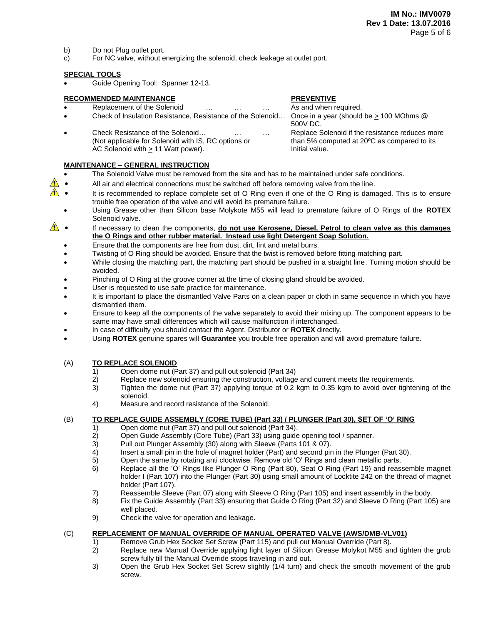- b) Do not Plug outlet port.
- c) For NC valve, without energizing the solenoid, check leakage at outlet port.

## **SPECIAL TOOLS**

Guide Opening Tool: Spanner 12-13.

## **RECOMMENDED MAINTENANCE PREVENTIVE**

- Replacement of the Solenoid … … … … As and when required.
- Check of Insulation Resistance, Resistance of the Solenoid... Once in a year (should be  $\geq$  100 MOhms @
- Check Resistance of the Solenoid… … … Replace Solenoid if the resistance reduces more (Not applicable for Solenoid with IS, RC options or than 5% computed at 20ºC as compared to its AC Solenoid with  $\geq 11$  Watt power). Initial value.

## **MAINTENANCE – GENERAL INSTRUCTION**

500V DC.

- The Solenoid Valve must be removed from the site and has to be maintained under safe conditions.
- $\bigwedge$ All air and electrical connections must be switched off before removing valve from the line.
- **If**  It is recommended to replace complete set of O Ring even if one of the O Ring is damaged. This is to ensure trouble free operation of the valve and will avoid its premature failure.
	- Using Grease other than Silicon base Molykote M55 will lead to premature failure of O Rings of the **ROTEX** Solenoid valve.
- **1** If necessary to clean the components, do not use Kerosene, Diesel, Petrol to clean valve as this damages **the O Rings and other rubber material. Instead use light Detergent Soap Solution.**
	- Ensure that the components are free from dust, dirt, lint and metal burrs.
	- Twisting of O Ring should be avoided. Ensure that the twist is removed before fitting matching part.
	- While closing the matching part, the matching part should be pushed in a straight line. Turning motion should be avoided.
	- Pinching of O Ring at the groove corner at the time of closing gland should be avoided.
	- User is requested to use safe practice for maintenance.
	- It is important to place the dismantled Valve Parts on a clean paper or cloth in same sequence in which you have dismantled them.
	- Ensure to keep all the components of the valve separately to avoid their mixing up. The component appears to be same may have small differences which will cause malfunction if interchanged.
	- In case of difficulty you should contact the Agent, Distributor or **ROTEX** directly.
	- Using **ROTEX** genuine spares will **Guarantee** you trouble free operation and will avoid premature failure.

## (A) **TO REPLACE SOLENOID**

- 1) Open dome nut (Part 37) and pull out solenoid (Part 34)
- 2) Replace new solenoid ensuring the construction, voltage and current meets the requirements.
- 3) Tighten the dome nut (Part 37) applying torque of 0.2 kgm to 0.35 kgm to avoid over tightening of the solenoid.
- 4) Measure and record resistance of the Solenoid.

# (B) **TO REPLACE GUIDE ASSEMBLY (CORE TUBE) (Part 33) / PLUNGER (Part 30), SET OF 'O' RING**

- 1) Open dome nut (Part 37) and pull out solenoid (Part 34).
- 2) Open Guide Assembly (Core Tube) (Part 33) using guide opening tool / spanner.
- 3) Pull out Plunger Assembly (30) along with Sleeve (Parts 101 & 07).
- 4) Insert a small pin in the hole of magnet holder (Part) and second pin in the Plunger (Part 30).
- 5) Open the same by rotating anti clockwise. Remove old 'O' Rings and clean metallic parts.
- 6) Replace all the 'O' Rings like Plunger O Ring (Part 80), Seat O Ring (Part 19) and reassemble magnet holder I (Part 107) into the Plunger (Part 30) using small amount of Locktite 242 on the thread of magnet holder (Part 107).
- 7) Reassemble Sleeve (Part 07) along with Sleeve O Ring (Part 105) and insert assembly in the body.
- 8) Fix the Guide Assembly (Part 33) ensuring that Guide O Ring (Part 32) and Sleeve O Ring (Part 105) are well placed.
- 9) Check the valve for operation and leakage.

## (C) **REPLACEMENT OF MANUAL OVERRIDE OF MANUAL OPERATED VALVE (AWS/DMB-VLV01)**

- 1) Remove Grub Hex Socket Set Screw (Part 115) and pull out Manual Override (Part 8).
	- 2) Replace new Manual Override applying light layer of Silicon Grease Molykot M55 and tighten the grub screw fully till the Manual Override stops traveling in and out.
	- 3) Open the Grub Hex Socket Set Screw slightly (1/4 turn) and check the smooth movement of the grub screw.